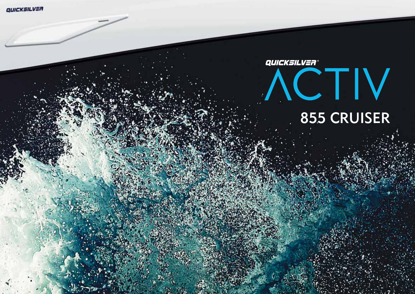# QUICKSILVER® ACTIV 855 cruiser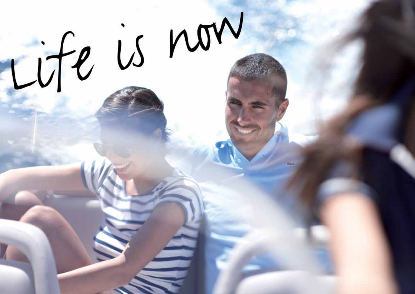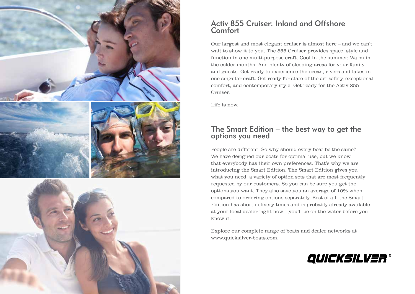

# Activ 855 Cruiser: Inland and Offshore **Comfort**

Our largest and most elegant cruiser is almost here – and we can't wait to show it to you. The 855 Cruiser provides space, style and function in one multi-purpose craft. Cool in the summer. Warm in the colder months. And plenty of sleeping areas for your family and guests. Get ready to experience the ocean, rivers and lakes in one singular craft. Get ready for state-of-the-art safety, exceptional comfort, and contemporary style. Get ready for the Activ 855 Cruiser.

Life is now.

# The Smart Edition – the best way to get the options you need

People are different. So why should every boat be the same? We have designed our boats for optimal use, but we know that everybody has their own preferences. That's why we are introducing the Smart Edition. The Smart Edition gives you what you need: a variety of option sets that are most frequently requested by our customers. So you can be sure you get the options you want. They also save you an average of 10% when compared to ordering options separately. Best of all, the Smart Edition has short delivery times and is probably already available at your local dealer right now – you'll be on the water before you know it.

Explore our complete range of boats and dealer networks at www.quicksilver-boats.com.

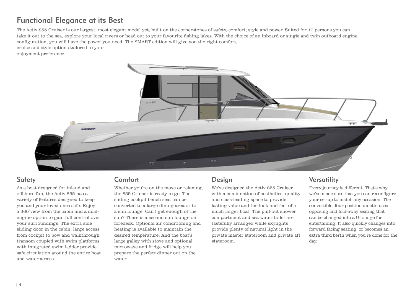# Functional Elegance at its Best

The Activ 855 Cruiser is our largest, most elegant model yet, built on the cornerstones of safety, comfort, style and power. Suited for 10 persons you can take it out to the sea, explore your local rivers or head out to your favourite fishing lakes. With the choice of an inboard or single and twin outboard engine configuration, you will have the power you need. The SMART edition will give you the right comfort,

cruise and style options tailored to your

enjoyment preference.



# Safety

As a boat designed for inland and offshore fun, the Activ 855 has a variety of features designed to keep you and your loved ones safe. Enjoy a 360°view from the cabin and a dualengine option to gain full control over your surroundings. The extra side sliding door in the cabin, large access from cockpit to bow and walkthrough transom coupled with swim platforms with integrated swim ladder provide safe circulation around the entire boat and water access.

# Comfort

Whether you're on the move or relaxing, the 855 Cruiser is ready to go. The sliding cockpit bench seat can be converted to a large dining area or to a sun lounge. Can't get enough of the sun? There is a second sun lounge on foredeck. Optional air conditioning and heating is available to maintain the desired temperature. And the boat's large galley with stove and optional microwave and fridge will help you prepare the perfect dinner out on the water.

# Design

We've designed the Activ 855 Cruiser with a combination of aesthetics, quality and class-leading space to provide lasting value and the look and feel of a much larger boat. The pull-out shower compartment and sea water toilet are tastefully arranged while skylights provide plenty of natural light in the private master stateroom and private aft stateroom.

# **Versatility**

Every journey is different. That's why we've made sure that you can reconfigure your set-up to match any occasion. The convertible, four-position dinette uses opposing and fold-away seating that can be changed into a U-lounge for entertaining. It also quickly changes into forward facing seating, or becomes an extra third berth when you're done for the day.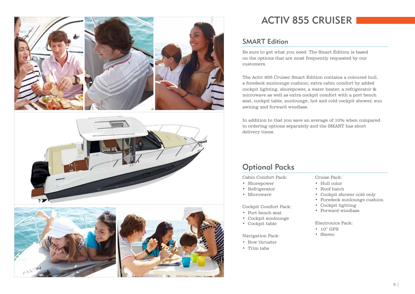





# ACTIV 855 CRUISER

# SMART Edition

Be sure to get what you need: The Smart Edition is based on the options that are most frequently requested by our customers.

The Activ 855 Cruiser Smart Edition contains a coloured hull, a foredeck sunlounge cushion; extra cabin comfort by added cockpit lighting, shorepower, a water heater, a refrigerator & microwave as well as extra cockpit comfort with a port bench seat, cockpit table, sunlounge, hot and cold cockpit shower, sun awning and forward windlass.

In addition to that you save an average of 10% when compared to ordering options separately and the SMART has short delivery times.

# Optional Packs

Cabin Comfort Pack:

- Shorepower
- Refrigerator
- Microwave

#### Cockpit Comfort Pack:

- Port bench seat
- Cockpit sunlounge
- Cockpit table

#### Navigation Pack:

# • Bow thruster

• Trim tabs

#### Cruise Pack:

- Hull color
- Roof hatch
- Cockpit shower cold only
- Foredeck sunlounge cushion
- Cockpit lighting
- Forward windlass

#### Electronics Pack:

- 10" GPS
- Stereo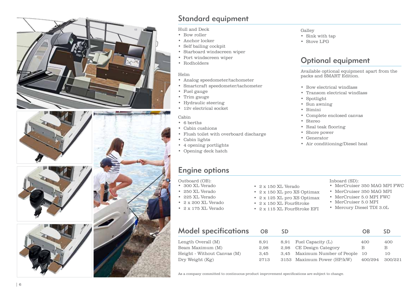







# Standard equipment<br>
Hull and Deck<br>
• Bow roller<br>
• Anchor locker<br>
• Self bailing cockpit<br>
• Starboard windscreen wiper<br>
• Port windscreen wiper<br>
• Rodholders<br>
• Helm<br>
• Analog speedometer/tachomet<br>
• Smartcraft speedometer

Hull and Deck

- Bow roller
- Anchor locker
- Self bailing cockpit
- Starboard windscreen wiper
- Port windscreen wiper
- Rodholders

#### Helm

- Analog speedometer/tachometer
- Smartcraft speedometer/tachometer
- Fuel gauge
- Trim gauge
- Hydraulic steering
- 12v electrical socket

#### Cabin

- 6 berths
- Cabin cushions
- Flush toilet with overboard discharge
- Cabin lights
- 4 opening portlights
- Opening deck hatch

#### Galley

- Sink with tap
- Stove LPG

# Optional equipment

Available optional equipment apart from the packs and SMART Edition.

- Bow electrical windlass
- Transom electrical windlass
- Spotlight
- Sun awning
- Bimini
- Complete enclosed canvas
- Stereo
- Real teak flooring
- Shore power
- Generator
- Air conditioning/Diesel heat

#### Outboard (OB):

- 300 XL Verado
- 250 XL Verado
- 225 XL Verado
- 2 x 200 XL Verado
- 2 x 175 XL Verado
- 2 x 150 XL Verado
- 2 x 150 XL pro XS Optimax
- 2 x 125 XL pro XS Optimax
- 2 x 150 XL FourStroke
- 2 x 115 XL FourStroke EFI
- Inboard (SD):
- MerCruiser 350 MAG MPI FWC
- MerCruiser 350 MAG MPI
- MerCruiser 5.0 MPI FWC
- MerCruiser 5.0 MPI
- Mercury Diesel TDI 3.0L

| <b>Model specifications</b> | <b>OB</b> | SD. |                                  | OR      | SD.     |
|-----------------------------|-----------|-----|----------------------------------|---------|---------|
| Length Overall (M)          | 8.91      |     | 8,91 Fuel Capacity (L)           | 400     | 400     |
| Beam Maximum (M)            | 2.98      |     | 2,98 CE Design Category          | В       | В       |
| Height - Without Canvas (M) | 3.45      |     | 3,45 Maximum Number of People 10 |         | 10      |
| Dry Weight (Kg)             | 2713      |     | 3153 Maximum Power (HP/kW)       | 400/294 | 300/221 |

As a company committed to continuous product improvement specifications are subject to change.

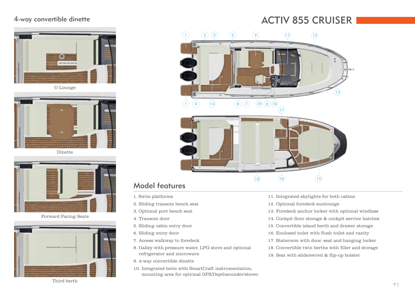## 4-way convertible dinette



U-Lounge



Dinette



Forward Facing Seats



# ACTIV 855 CRUISER



# Model features

- 1. Swim platforms
- 2. Sliding transom bench seat
- 3. Optional port bench seat
- 4. Transom door
- 5. Sliding cabin entry door
- 6. Sliding entry door
- 7. Access walkway to foredeck
- 8. Galley with pressure water, LPG stove and optional refrigerator and microwave
- 9. 4-way convertible dinette
- 10. Integrated helm with SmartCraft instrumentation, mounting area for optional GPS/Depthsounder/stereo
- 11. Integrated skylights for both cabins
- 12. Optional foredeck sunlounge
- 13. Foredeck anchor locker with optional windlass
- 14. Cockpit floor storage & cockpit service hatches
- 15. Convertible island berth and drawer storage
- 16. Enclosed toilet with flush toilet and vanity
- 17. Stateroom with door, seat and hanging locker
- 18. Convertible twin berths with filler and storage
- 19. Seat with slide/swivel & flip-up bolster